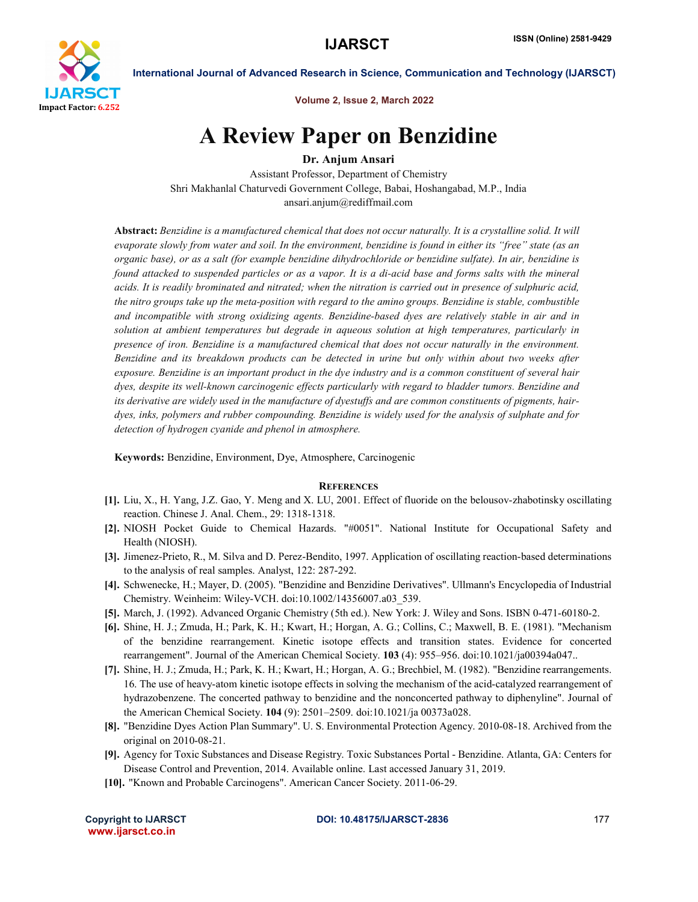

International Journal of Advanced Research in Science, Communication and Technology (IJARSCT)

Volume 2, Issue 2, March 2022

## A Review Paper on Benzidine

Dr. Anjum Ansari

Assistant Professor, Department of Chemistry Shri Makhanlal Chaturvedi Government College, Babai, Hoshangabad, M.P., India ansari.anjum@rediffmail.com

Abstract: *Benzidine is a manufactured chemical that does not occur naturally. It is a crystalline solid. It will evaporate slowly from water and soil. In the environment, benzidine is found in either its "free" state (as an organic base), or as a salt (for example benzidine dihydrochloride or benzidine sulfate). In air, benzidine is found attacked to suspended particles or as a vapor. It is a di-acid base and forms salts with the mineral acids. It is readily brominated and nitrated; when the nitration is carried out in presence of sulphuric acid, the nitro groups take up the meta-position with regard to the amino groups. Benzidine is stable, combustible and incompatible with strong oxidizing agents. Benzidine-based dyes are relatively stable in air and in solution at ambient temperatures but degrade in aqueous solution at high temperatures, particularly in presence of iron. Benzidine is a manufactured chemical that does not occur naturally in the environment. Benzidine and its breakdown products can be detected in urine but only within about two weeks after exposure. Benzidine is an important product in the dye industry and is a common constituent of several hair dyes, despite its well-known carcinogenic effects particularly with regard to bladder tumors. Benzidine and its derivative are widely used in the manufacture of dyestuffs and are common constituents of pigments, hairdyes, inks, polymers and rubber compounding. Benzidine is widely used for the analysis of sulphate and for detection of hydrogen cyanide and phenol in atmosphere.*

Keywords: Benzidine, Environment, Dye, Atmosphere, Carcinogenic

## **REFERENCES**

- [1]. Liu, X., H. Yang, J.Z. Gao, Y. Meng and X. LU, 2001. Effect of fluoride on the belousov-zhabotinsky oscillating reaction. Chinese J. Anal. Chem., 29: 1318-1318.
- [2]. NIOSH Pocket Guide to Chemical Hazards. "#0051". National Institute for Occupational Safety and Health (NIOSH).
- [3]. Jimenez-Prieto, R., M. Silva and D. Perez-Bendito, 1997. Application of oscillating reaction-based determinations to the analysis of real samples. Analyst, 122: 287-292.
- [4]. Schwenecke, H.; Mayer, D. (2005). "Benzidine and Benzidine Derivatives". Ullmann's Encyclopedia of Industrial Chemistry. Weinheim: Wiley-VCH. doi:10.1002/14356007.a03\_539.
- [5]. March, J. (1992). Advanced Organic Chemistry (5th ed.). New York: J. Wiley and Sons. ISBN 0-471-60180-2.
- [6]. Shine, H. J.; Zmuda, H.; Park, K. H.; Kwart, H.; Horgan, A. G.; Collins, C.; Maxwell, B. E. (1981). "Mechanism of the benzidine rearrangement. Kinetic isotope effects and transition states. Evidence for concerted rearrangement". Journal of the American Chemical Society. 103 (4): 955–956. doi:10.1021/ja00394a047..
- [7]. Shine, H. J.; Zmuda, H.; Park, K. H.; Kwart, H.; Horgan, A. G.; Brechbiel, M. (1982). "Benzidine rearrangements. 16. The use of heavy-atom kinetic isotope effects in solving the mechanism of the acid-catalyzed rearrangement of hydrazobenzene. The concerted pathway to benzidine and the nonconcerted pathway to diphenyline". Journal of the American Chemical Society. 104 (9): 2501–2509. doi:10.1021/ja 00373a028.
- [8]. "Benzidine Dyes Action Plan Summary". U. S. Environmental Protection Agency. 2010-08-18. Archived from the original on 2010-08-21.
- [9]. Agency for Toxic Substances and Disease Registry. Toxic Substances Portal Benzidine. Atlanta, GA: Centers for Disease Control and Prevention, 2014. Available online. Last accessed January 31, 2019.
- [10]. "Known and Probable Carcinogens". American Cancer Society. 2011-06-29.

www.ijarsct.co.in